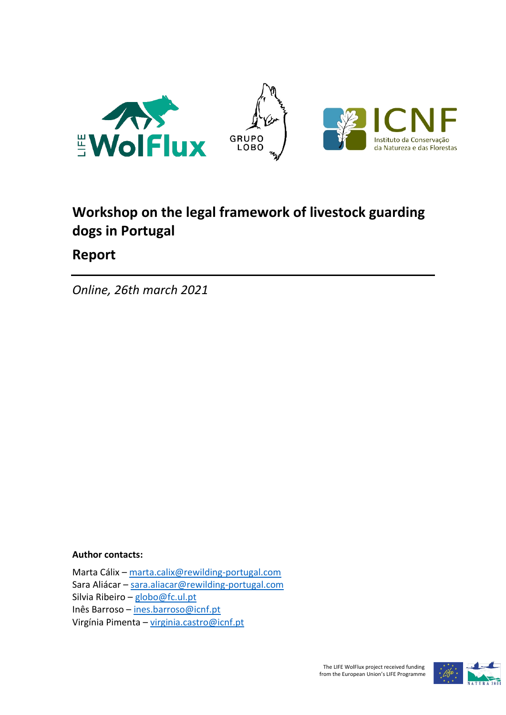

# **Workshop on the legal framework of livestock guarding dogs in Portugal**

# **Report**

*Online, 26th march 2021* 

## **Author contacts:**

Marta Cálix – [marta.calix@rewilding-portugal.com](mailto:marta.calix@rewilding-portugal.com) Sara Aliácar – [sara.aliacar@rewilding-portugal.com](mailto:sara.aliacar@rewilding-portugal.com) Silvia Ribeiro – globo@fc.ul.pt Inês Barroso – [ines.barroso@icnf.pt](mailto:ines.barroso@icnf.pt) Virgínia Pimenta – [virginia.castro@icnf.pt](mailto:virginia.castro@icnf.pt)

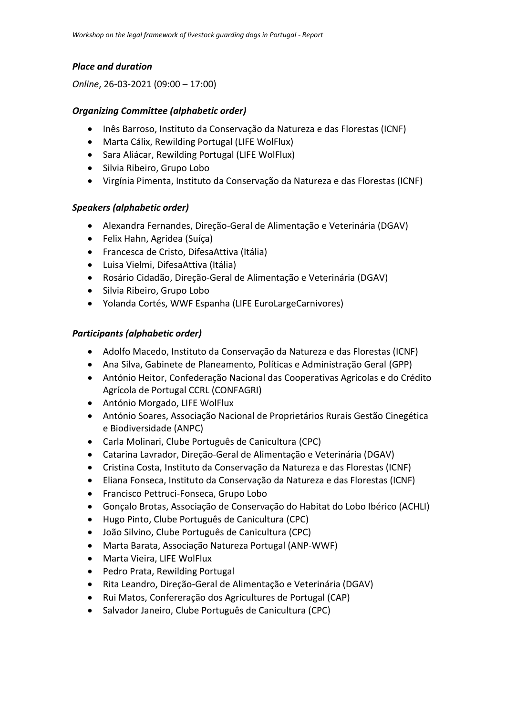#### *Place and duration*

#### *Online*, 26-03-2021 (09:00 – 17:00)

#### *Organizing Committee (alphabetic order)*

- Inês Barroso, Instituto da Conservação da Natureza e das Florestas (ICNF)
- Marta Cálix, Rewilding Portugal (LIFE WolFlux)
- Sara Aliácar, Rewilding Portugal (LIFE WolFlux)
- Silvia Ribeiro, Grupo Lobo
- Virgínia Pimenta, Instituto da Conservação da Natureza e das Florestas (ICNF)

#### *Speakers (alphabetic order)*

- Alexandra Fernandes, Direção-Geral de Alimentação e Veterinária (DGAV)
- Felix Hahn, Agridea (Suíça)
- Francesca de Cristo, DifesaAttiva (Itália)
- Luisa Vielmi, DifesaAttiva (Itália)
- Rosário Cidadão, Direção-Geral de Alimentação e Veterinária (DGAV)
- Silvia Ribeiro, Grupo Lobo
- Yolanda Cortés, WWF Espanha (LIFE EuroLargeCarnivores)

#### *Participants (alphabetic order)*

- Adolfo Macedo, Instituto da Conservação da Natureza e das Florestas (ICNF)
- Ana Silva, Gabinete de Planeamento, Políticas e Administração Geral (GPP)
- António Heitor, Confederação Nacional das Cooperativas Agrícolas e do Crédito Agrícola de Portugal CCRL (CONFAGRI)
- António Morgado, LIFE WolFlux
- António Soares, Associação Nacional de Proprietários Rurais Gestão Cinegética e Biodiversidade (ANPC)
- Carla Molinari, Clube Português de Canicultura (CPC)
- Catarina Lavrador, Direção-Geral de Alimentação e Veterinária (DGAV)
- Cristina Costa, Instituto da Conservação da Natureza e das Florestas (ICNF)
- Eliana Fonseca, Instituto da Conservação da Natureza e das Florestas (ICNF)
- Francisco Pettruci-Fonseca, Grupo Lobo
- Gonçalo Brotas, Associação de Conservação do Habitat do Lobo Ibérico (ACHLI)
- Hugo Pinto, Clube Português de Canicultura (CPC)
- João Silvino, Clube Português de Canicultura (CPC)
- Marta Barata, Associação Natureza Portugal (ANP-WWF)
- Marta Vieira, LIFE WolFlux
- Pedro Prata, Rewilding Portugal
- Rita Leandro, Direção-Geral de Alimentação e Veterinária (DGAV)
- Rui Matos, Confereração dos Agricultures de Portugal (CAP)
- Salvador Janeiro, Clube Português de Canicultura (CPC)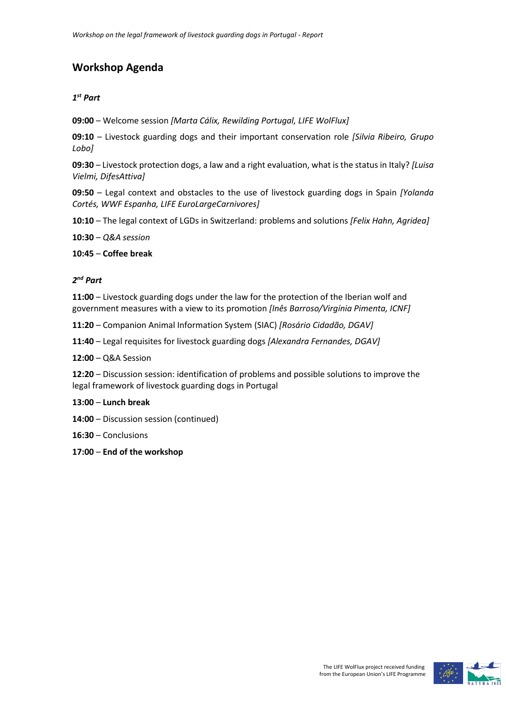## **Workshop Agenda**

## *1 st Part*

**09:00** – Welcome session *[Marta Cálix, Rewilding Portugal, LIFE WolFlux]*

**09:10** – Livestock guarding dogs and their important conservation role *[Silvia Ribeiro, Grupo Lobo]*

**09:30** – Livestock protection dogs, a law and a right evaluation, what is the status in Italy? *[Luisa Vielmi, DifesAttiva]*

**09:50** – Legal context and obstacles to the use of livestock guarding dogs in Spain *[Yolanda Cortés, WWF Espanha, LIFE EuroLargeCarnivores]*

**10:10** – The legal context of LGDs in Switzerland: problems and solutions *[Felix Hahn, Agridea]*

**10:30** – *Q&A session*

**10:45** – **Coffee break**

#### *2 nd Part*

**11:00** – Livestock guarding dogs under the law for the protection of the Iberian wolf and government measures with a view to its promotion *[Inês Barroso/Virgínia Pimenta, ICNF]*

**11:20** – Companion Animal Information System (SIAC) *[Rosário Cidadão, DGAV]*

**11:40** – Legal requisites for livestock guarding dogs *[Alexandra Fernandes, DGAV]*

**12:00** – Q&A Session

**12:20** – Discussion session: identification of problems and possible solutions to improve the legal framework of livestock guarding dogs in Portugal

#### **13:00** – **Lunch break**

**14:00** – Discussion session (continued)

**16:30** – Conclusions

**17:00** – **End of the workshop**

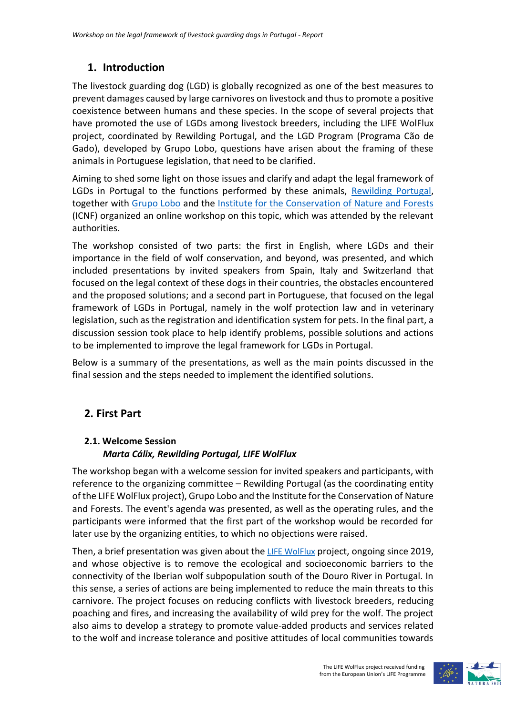## **1. Introduction**

The livestock guarding dog (LGD) is globally recognized as one of the best measures to prevent damages caused by large carnivores on livestock and thusto promote a positive coexistence between humans and these species. In the scope of several projects that have promoted the use of LGDs among livestock breeders, including the LIFE WolFlux project, coordinated by Rewilding Portugal, and the LGD Program (Programa Cão de Gado), developed by Grupo Lobo, questions have arisen about the framing of these animals in Portuguese legislation, that need to be clarified.

Aiming to shed some light on those issues and clarify and adapt the legal framework of LGDs in Portugal to the functions performed by these animals, [Rewilding Portugal,](https://rewilding-portugal.com/) together with [Grupo Lobo](http://grupolobo.pt/) and the [Institute for the Conservation of Nature and Forests](https://www.icnf.pt/) (ICNF) organized an online workshop on this topic, which was attended by the relevant authorities.

The workshop consisted of two parts: the first in English, where LGDs and their importance in the field of wolf conservation, and beyond, was presented, and which included presentations by invited speakers from Spain, Italy and Switzerland that focused on the legal context of these dogs in their countries, the obstacles encountered and the proposed solutions; and a second part in Portuguese, that focused on the legal framework of LGDs in Portugal, namely in the wolf protection law and in veterinary legislation, such as the registration and identification system for pets. In the final part, a discussion session took place to help identify problems, possible solutions and actions to be implemented to improve the legal framework for LGDs in Portugal.

Below is a summary of the presentations, as well as the main points discussed in the final session and the steps needed to implement the identified solutions.

## **2. First Part**

#### **2.1. Welcome Session** *Marta Cálix, Rewilding Portugal, LIFE WolFlux*

The workshop began with a welcome session for invited speakers and participants, with reference to the organizing committee – Rewilding Portugal (as the coordinating entity of the LIFE WolFlux project), Grupo Lobo and the Institute for the Conservation of Nature and Forests. The event's agenda was presented, as well as the operating rules, and the participants were informed that the first part of the workshop would be recorded for later use by the organizing entities, to which no objections were raised.

Then, a brief presentation was given about the [LIFE WolFlux](https://rewilding-portugal.com/life-wolflux/) project, ongoing since 2019, and whose objective is to remove the ecological and socioeconomic barriers to the connectivity of the Iberian wolf subpopulation south of the Douro River in Portugal. In this sense, a series of actions are being implemented to reduce the main threats to this carnivore. The project focuses on reducing conflicts with livestock breeders, reducing poaching and fires, and increasing the availability of wild prey for the wolf. The project also aims to develop a strategy to promote value-added products and services related to the wolf and increase tolerance and positive attitudes of local communities towards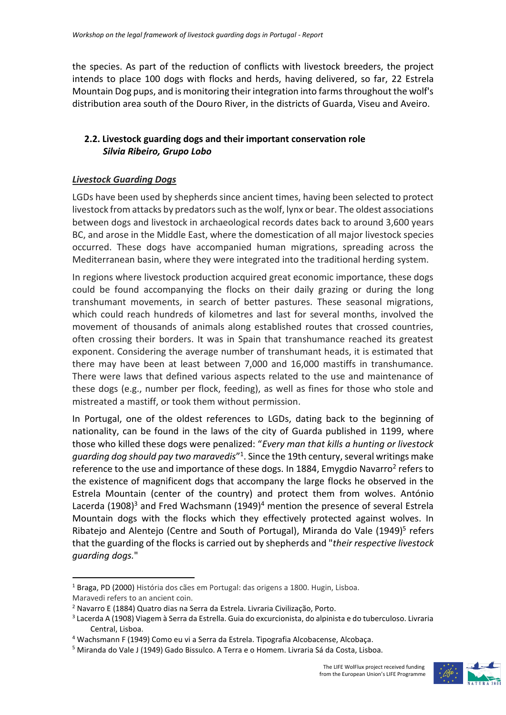the species. As part of the reduction of conflicts with livestock breeders, the project intends to place 100 dogs with flocks and herds, having delivered, so far, 22 Estrela Mountain Dog pups, and is monitoring their integration into farms throughout the wolf's distribution area south of the Douro River, in the districts of Guarda, Viseu and Aveiro.

## **2.2. Livestock guarding dogs and their important conservation role** *Silvia Ribeiro, Grupo Lobo*

#### *Livestock Guarding Dogs*

LGDs have been used by shepherds since ancient times, having been selected to protect livestock from attacks by predators such as the wolf, lynx or bear. The oldest associations between dogs and livestock in archaeological records dates back to around 3,600 years BC, and arose in the Middle East, where the domestication of all major livestock species occurred. These dogs have accompanied human migrations, spreading across the Mediterranean basin, where they were integrated into the traditional herding system.

In regions where livestock production acquired great economic importance, these dogs could be found accompanying the flocks on their daily grazing or during the long transhumant movements, in search of better pastures. These seasonal migrations, which could reach hundreds of kilometres and last for several months, involved the movement of thousands of animals along established routes that crossed countries, often crossing their borders. It was in Spain that transhumance reached its greatest exponent. Considering the average number of transhumant heads, it is estimated that there may have been at least between 7,000 and 16,000 mastiffs in transhumance. There were laws that defined various aspects related to the use and maintenance of these dogs (e.g., number per flock, feeding), as well as fines for those who stole and mistreated a mastiff, or took them without permission.

In Portugal, one of the oldest references to LGDs, dating back to the beginning of nationality, can be found in the laws of the city of Guarda published in 1199, where those who killed these dogs were penalized: "*Every man that kills a hunting or livestock guarding dog should pay two maravedis*" 1 . Since the 19th century, several writings make reference to the use and importance of these dogs. In 1884, Emygdio Navarro<sup>2</sup> refers to the existence of magnificent dogs that accompany the large flocks he observed in the Estrela Mountain (center of the country) and protect them from wolves. António Lacerda (1908)<sup>3</sup> and Fred Wachsmann (1949)<sup>4</sup> mention the presence of several Estrela Mountain dogs with the flocks which they effectively protected against wolves. In Ribatejo and Alentejo (Centre and South of Portugal), Miranda do Vale (1949)<sup>5</sup> refers that the guarding of the flocks is carried out by shepherds and "*their respective livestock guarding dogs.*"



<sup>1</sup> Braga, PD (2000) História dos cães em Portugal: das origens a 1800. Hugin, Lisboa.

Maravedi refers to an ancient coin.

<sup>2</sup> Navarro E (1884) Quatro dias na Serra da Estrela. Livraria Civilização, Porto.

<sup>3</sup> Lacerda A (1908) Viagem à Serra da Estrella. Guia do excurcionista, do alpinista e do tuberculoso. Livraria Central, Lisboa.

<sup>4</sup> Wachsmann F (1949) Como eu vi a Serra da Estrela. Tipografia Alcobacense, Alcobaça.

<sup>&</sup>lt;sup>5</sup> Miranda do Vale J (1949) Gado Bissulco. A Terra e o Homem. Livraria Sá da Costa, Lisboa.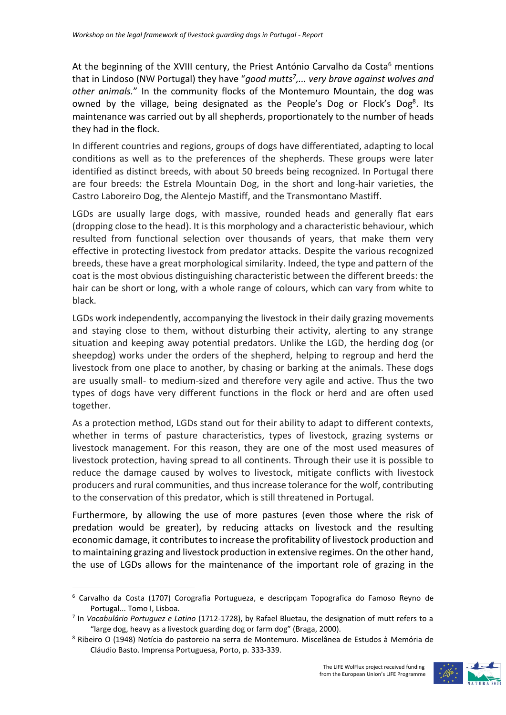At the beginning of the XVIII century, the Priest António Carvalho da Costa<sup>6</sup> mentions that in Lindoso (NW Portugal) they have "*good mutts 7 ,... very brave against wolves and other animals.*" In the community flocks of the Montemuro Mountain, the dog was owned by the village, being designated as the People's Dog or Flock's Dog<sup>8</sup>. Its maintenance was carried out by all shepherds, proportionately to the number of heads they had in the flock.

In different countries and regions, groups of dogs have differentiated, adapting to local conditions as well as to the preferences of the shepherds. These groups were later identified as distinct breeds, with about 50 breeds being recognized. In Portugal there are four breeds: the Estrela Mountain Dog, in the short and long-hair varieties, the Castro Laboreiro Dog, the Alentejo Mastiff, and the Transmontano Mastiff.

LGDs are usually large dogs, with massive, rounded heads and generally flat ears (dropping close to the head). It is this morphology and a characteristic behaviour, which resulted from functional selection over thousands of years, that make them very effective in protecting livestock from predator attacks. Despite the various recognized breeds, these have a great morphological similarity. Indeed, the type and pattern of the coat is the most obvious distinguishing characteristic between the different breeds: the hair can be short or long, with a whole range of colours, which can vary from white to black.

LGDs work independently, accompanying the livestock in their daily grazing movements and staying close to them, without disturbing their activity, alerting to any strange situation and keeping away potential predators. Unlike the LGD, the herding dog (or sheepdog) works under the orders of the shepherd, helping to regroup and herd the livestock from one place to another, by chasing or barking at the animals. These dogs are usually small- to medium-sized and therefore very agile and active. Thus the two types of dogs have very different functions in the flock or herd and are often used together.

As a protection method, LGDs stand out for their ability to adapt to different contexts, whether in terms of pasture characteristics, types of livestock, grazing systems or livestock management. For this reason, they are one of the most used measures of livestock protection, having spread to all continents. Through their use it is possible to reduce the damage caused by wolves to livestock, mitigate conflicts with livestock producers and rural communities, and thus increase tolerance for the wolf, contributing to the conservation of this predator, which is still threatened in Portugal.

Furthermore, by allowing the use of more pastures (even those where the risk of predation would be greater), by reducing attacks on livestock and the resulting economic damage, it contributes to increase the profitability of livestock production and to maintaining grazing and livestock production in extensive regimes. On the other hand, the use of LGDs allows for the maintenance of the important role of grazing in the



<sup>6</sup> Carvalho da Costa (1707) Corografia Portugueza, e descripçam Topografica do Famoso Reyno de Portugal... Tomo I, Lisboa.

<sup>7</sup> In *Vocabulário Portuguez e Latino* (1712-1728), by Rafael Bluetau, the designation of mutt refers to a "large dog, heavy as a livestock guarding dog or farm dog" (Braga, 2000).

<sup>8</sup> Ribeiro O (1948) Notícia do pastoreio na serra de Montemuro. Miscelânea de Estudos à Memória de Cláudio Basto. Imprensa Portuguesa, Porto, p. 333-339.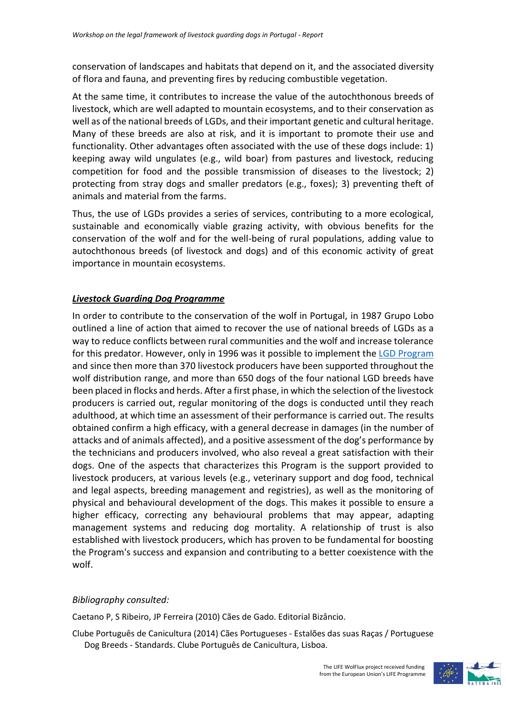conservation of landscapes and habitats that depend on it, and the associated diversity of flora and fauna, and preventing fires by reducing combustible vegetation.

At the same time, it contributes to increase the value of the autochthonous breeds of livestock, which are well adapted to mountain ecosystems, and to their conservation as well as of the national breeds of LGDs, and their important genetic and cultural heritage. Many of these breeds are also at risk, and it is important to promote their use and functionality. Other advantages often associated with the use of these dogs include: 1) keeping away wild ungulates (e.g., wild boar) from pastures and livestock, reducing competition for food and the possible transmission of diseases to the livestock; 2) protecting from stray dogs and smaller predators (e.g., foxes); 3) preventing theft of animals and material from the farms.

Thus, the use of LGDs provides a series of services, contributing to a more ecological, sustainable and economically viable grazing activity, with obvious benefits for the conservation of the wolf and for the well-being of rural populations, adding value to autochthonous breeds (of livestock and dogs) and of this economic activity of great importance in mountain ecosystems.

#### *Livestock Guarding Dog Programme*

In order to contribute to the conservation of the wolf in Portugal, in 1987 Grupo Lobo outlined a line of action that aimed to recover the use of national breeds of LGDs as a way to reduce conflicts between rural communities and the wolf and increase tolerance for this predator. However, only in 1996 was it possible to implement the LGD [Program](http://www.grupolobo.pt/programa-cao-de-gado) and since then more than 370 livestock producers have been supported throughout the wolf distribution range, and more than 650 dogs of the four national LGD breeds have been placed in flocks and herds. After a first phase, in which the selection of the livestock producers is carried out, regular monitoring of the dogs is conducted until they reach adulthood, at which time an assessment of their performance is carried out. The results obtained confirm a high efficacy, with a general decrease in damages (in the number of attacks and of animals affected), and a positive assessment of the dog's performance by the technicians and producers involved, who also reveal a great satisfaction with their dogs. One of the aspects that characterizes this Program is the support provided to livestock producers, at various levels (e.g., veterinary support and dog food, technical and legal aspects, breeding management and registries), as well as the monitoring of physical and behavioural development of the dogs. This makes it possible to ensure a higher efficacy, correcting any behavioural problems that may appear, adapting management systems and reducing dog mortality. A relationship of trust is also established with livestock producers, which has proven to be fundamental for boosting the Program's success and expansion and contributing to a better coexistence with the wolf.

#### *Bibliography consulted:*

Caetano P, S Ribeiro, JP Ferreira (2010) Cães de Gado. Editorial Bizâncio.

Clube Português de Canicultura (2014) Cães Portugueses - Estalões das suas Raças / Portuguese Dog Breeds - Standards. Clube Português de Canicultura, Lisboa.

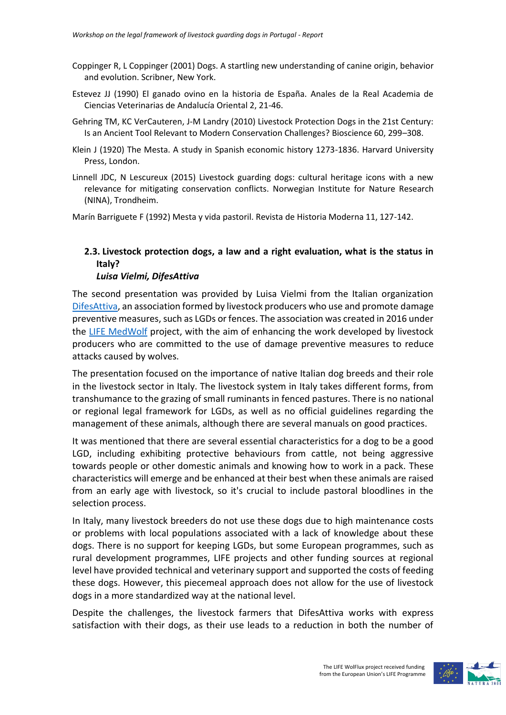- Coppinger R, L Coppinger (2001) Dogs. A startling new understanding of canine origin, behavior and evolution. Scribner, New York.
- Estevez JJ (1990) El ganado ovino en la historia de España. Anales de la Real Academia de Ciencias Veterinarias de Andalucía Oriental 2, 21-46.
- Gehring TM, KC VerCauteren, J-M Landry (2010) Livestock Protection Dogs in the 21st Century: Is an Ancient Tool Relevant to Modern Conservation Challenges? Bioscience 60, 299–308.
- Klein J (1920) The Mesta. A study in Spanish economic history 1273-1836. Harvard University Press, London.
- Linnell JDC, N Lescureux (2015) Livestock guarding dogs: cultural heritage icons with a new relevance for mitigating conservation conflicts. Norwegian Institute for Nature Research (NINA), Trondheim.

Marín Barriguete F (1992) Mesta y vida pastoril. Revista de Historia Moderna 11, 127-142.

## **2.3. Livestock protection dogs, a law and a right evaluation, what is the status in Italy?**

#### *Luisa Vielmi, DifesAttiva*

The second presentation was provided by Luisa Vielmi from the Italian organization [DifesAttiva,](http://www.difesattiva.info/) an association formed by livestock producers who use and promote damage preventive measures, such as LGDs or fences. The association was created in 2016 under the [LIFE MedWolf](http://www.medwolf.eu/) project, with the aim of enhancing the work developed by livestock producers who are committed to the use of damage preventive measures to reduce attacks caused by wolves.

The presentation focused on the importance of native Italian dog breeds and their role in the livestock sector in Italy. The livestock system in Italy takes different forms, from transhumance to the grazing of small ruminants in fenced pastures. There is no national or regional legal framework for LGDs, as well as no official guidelines regarding the management of these animals, although there are several manuals on good practices.

It was mentioned that there are several essential characteristics for a dog to be a good LGD, including exhibiting protective behaviours from cattle, not being aggressive towards people or other domestic animals and knowing how to work in a pack. These characteristics will emerge and be enhanced at their best when these animals are raised from an early age with livestock, so it's crucial to include pastoral bloodlines in the selection process.

In Italy, many livestock breeders do not use these dogs due to high maintenance costs or problems with local populations associated with a lack of knowledge about these dogs. There is no support for keeping LGDs, but some European programmes, such as rural development programmes, LIFE projects and other funding sources at regional level have provided technical and veterinary support and supported the costs of feeding these dogs. However, this piecemeal approach does not allow for the use of livestock dogs in a more standardized way at the national level.

Despite the challenges, the livestock farmers that DifesAttiva works with express satisfaction with their dogs, as their use leads to a reduction in both the number of

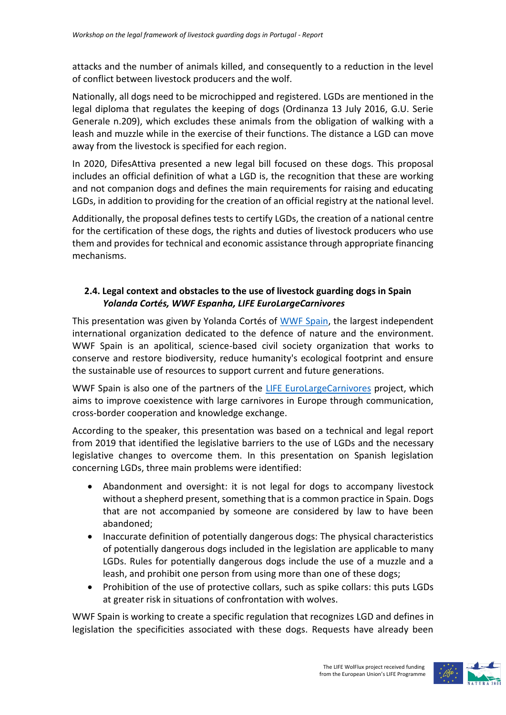attacks and the number of animals killed, and consequently to a reduction in the level of conflict between livestock producers and the wolf.

Nationally, all dogs need to be microchipped and registered. LGDs are mentioned in the legal diploma that regulates the keeping of dogs (Ordinanza 13 July 2016, G.U. Serie Generale n.209), which excludes these animals from the obligation of walking with a leash and muzzle while in the exercise of their functions. The distance a LGD can move away from the livestock is specified for each region.

In 2020, DifesAttiva presented a new legal bill focused on these dogs. This proposal includes an official definition of what a LGD is, the recognition that these are working and not companion dogs and defines the main requirements for raising and educating LGDs, in addition to providing for the creation of an official registry at the national level.

Additionally, the proposal defines tests to certify LGDs, the creation of a national centre for the certification of these dogs, the rights and duties of livestock producers who use them and provides for technical and economic assistance through appropriate financing mechanisms.

## **2.4. Legal context and obstacles to the use of livestock guarding dogs in Spain** *Yolanda Cortés, WWF Espanha, LIFE EuroLargeCarnivores*

This presentation was given by Yolanda Cortés of [WWF Spain,](https://www.wwf.es/) the largest independent international organization dedicated to the defence of nature and the environment. WWF Spain is an apolitical, science-based civil society organization that works to conserve and restore biodiversity, reduce humanity's ecological footprint and ensure the sustainable use of resources to support current and future generations.

WWF Spain is also one of the partners of the [LIFE EuroLargeCarnivores](https://www.eurolargecarnivores.eu/pt/) project, which aims to improve coexistence with large carnivores in Europe through communication, cross-border cooperation and knowledge exchange.

According to the speaker, this presentation was based on a technical and legal report from 2019 that identified the legislative barriers to the use of LGDs and the necessary legislative changes to overcome them. In this presentation on Spanish legislation concerning LGDs, three main problems were identified:

- Abandonment and oversight: it is not legal for dogs to accompany livestock without a shepherd present, something that is a common practice in Spain. Dogs that are not accompanied by someone are considered by law to have been abandoned;
- Inaccurate definition of potentially dangerous dogs: The physical characteristics of potentially dangerous dogs included in the legislation are applicable to many LGDs. Rules for potentially dangerous dogs include the use of a muzzle and a leash, and prohibit one person from using more than one of these dogs;
- Prohibition of the use of protective collars, such as spike collars: this puts LGDs at greater risk in situations of confrontation with wolves.

WWF Spain is working to create a specific regulation that recognizes LGD and defines in legislation the specificities associated with these dogs. Requests have already been

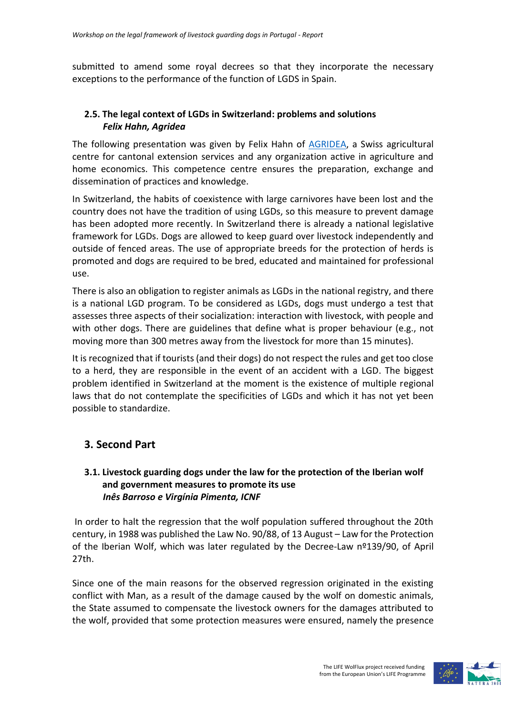submitted to amend some royal decrees so that they incorporate the necessary exceptions to the performance of the function of LGDS in Spain.

## **2.5. The legal context of LGDs in Switzerland: problems and solutions** *Felix Hahn, Agridea*

The following presentation was given by Felix Hahn of [AGRIDEA,](https://www.agridea.ch/en/) a Swiss agricultural centre for cantonal extension services and any organization active in agriculture and home economics. This competence centre ensures the preparation, exchange and dissemination of practices and knowledge.

In Switzerland, the habits of coexistence with large carnivores have been lost and the country does not have the tradition of using LGDs, so this measure to prevent damage has been adopted more recently. In Switzerland there is already a national legislative framework for LGDs. Dogs are allowed to keep guard over livestock independently and outside of fenced areas. The use of appropriate breeds for the protection of herds is promoted and dogs are required to be bred, educated and maintained for professional use.

There is also an obligation to register animals as LGDs in the national registry, and there is a national LGD program. To be considered as LGDs, dogs must undergo a test that assesses three aspects of their socialization: interaction with livestock, with people and with other dogs. There are guidelines that define what is proper behaviour (e.g., not moving more than 300 metres away from the livestock for more than 15 minutes).

It is recognized that if tourists (and their dogs) do not respect the rules and get too close to a herd, they are responsible in the event of an accident with a LGD. The biggest problem identified in Switzerland at the moment is the existence of multiple regional laws that do not contemplate the specificities of LGDs and which it has not yet been possible to standardize.

## **3. Second Part**

## **3.1. Livestock guarding dogs under the law for the protection of the Iberian wolf and government measures to promote its use** *Inês Barroso e Virgínia Pimenta, ICNF*

In order to halt the regression that the wolf population suffered throughout the 20th century, in 1988 was published the Law No. 90/88, of 13 August – Law for the Protection of the Iberian Wolf, which was later regulated by the Decree-Law nº139/90, of April 27th.

Since one of the main reasons for the observed regression originated in the existing conflict with Man, as a result of the damage caused by the wolf on domestic animals, the State assumed to compensate the livestock owners for the damages attributed to the wolf, provided that some protection measures were ensured, namely the presence

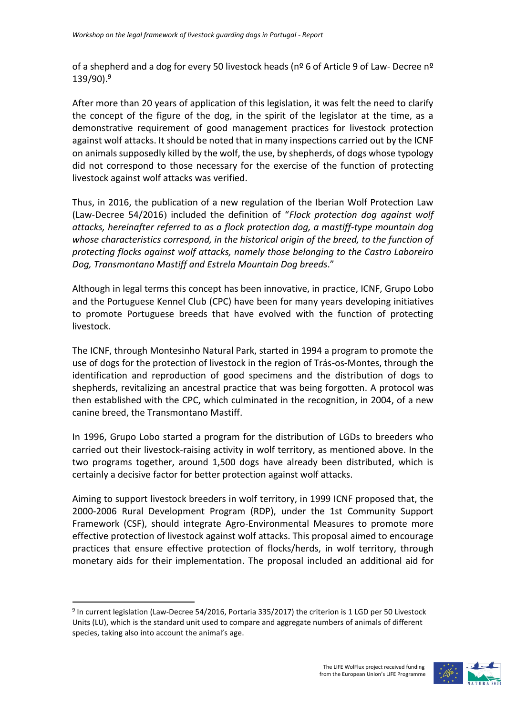of a shepherd and a dog for every 50 livestock heads (n<sup>o</sup> 6 of Article 9 of Law- Decree n<sup>o</sup> 139/90).<sup>9</sup>

After more than 20 years of application of this legislation, it was felt the need to clarify the concept of the figure of the dog, in the spirit of the legislator at the time, as a demonstrative requirement of good management practices for livestock protection against wolf attacks. It should be noted that in many inspections carried out by the ICNF on animals supposedly killed by the wolf, the use, by shepherds, of dogs whose typology did not correspond to those necessary for the exercise of the function of protecting livestock against wolf attacks was verified.

Thus, in 2016, the publication of a new regulation of the Iberian Wolf Protection Law (Law-Decree 54/2016) included the definition of "*Flock protection dog against wolf attacks, hereinafter referred to as a flock protection dog, a mastiff-type mountain dog whose characteristics correspond, in the historical origin of the breed, to the function of protecting flocks against wolf attacks, namely those belonging to the Castro Laboreiro Dog, Transmontano Mastiff and Estrela Mountain Dog breeds*."

Although in legal terms this concept has been innovative, in practice, ICNF, Grupo Lobo and the Portuguese Kennel Club (CPC) have been for many years developing initiatives to promote Portuguese breeds that have evolved with the function of protecting livestock.

The ICNF, through Montesinho Natural Park, started in 1994 a program to promote the use of dogs for the protection of livestock in the region of Trás-os-Montes, through the identification and reproduction of good specimens and the distribution of dogs to shepherds, revitalizing an ancestral practice that was being forgotten. A protocol was then established with the CPC, which culminated in the recognition, in 2004, of a new canine breed, the Transmontano Mastiff.

In 1996, Grupo Lobo started a program for the distribution of LGDs to breeders who carried out their livestock-raising activity in wolf territory, as mentioned above. In the two programs together, around 1,500 dogs have already been distributed, which is certainly a decisive factor for better protection against wolf attacks.

Aiming to support livestock breeders in wolf territory, in 1999 ICNF proposed that, the 2000-2006 Rural Development Program (RDP), under the 1st Community Support Framework (CSF), should integrate Agro-Environmental Measures to promote more effective protection of livestock against wolf attacks. This proposal aimed to encourage practices that ensure effective protection of flocks/herds, in wolf territory, through monetary aids for their implementation. The proposal included an additional aid for

<sup>&</sup>lt;sup>9</sup> In current legislation (Law-Decree 54/2016, Portaria 335/2017) the criterion is 1 LGD per 50 Livestock Units (LU), which is the standard unit used to compare and aggregate numbers of animals of different species, taking also into account the animal's age.

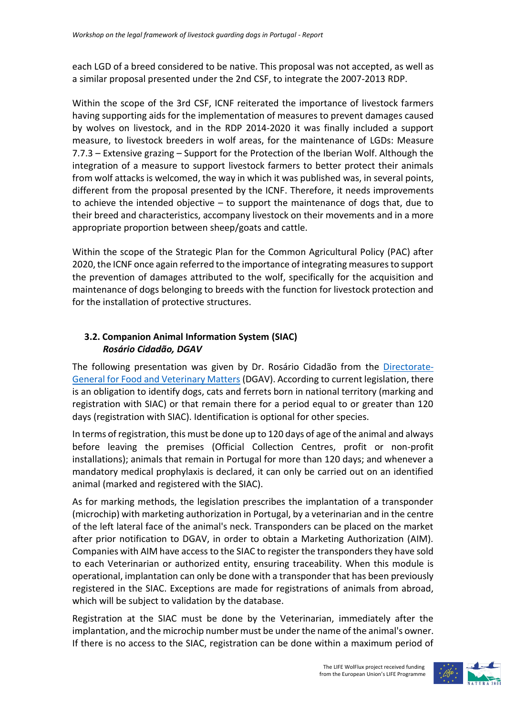each LGD of a breed considered to be native. This proposal was not accepted, as well as a similar proposal presented under the 2nd CSF, to integrate the 2007-2013 RDP.

Within the scope of the 3rd CSF, ICNF reiterated the importance of livestock farmers having supporting aids for the implementation of measures to prevent damages caused by wolves on livestock, and in the RDP 2014-2020 it was finally included a support measure, to livestock breeders in wolf areas, for the maintenance of LGDs: Measure 7.7.3 – Extensive grazing – Support for the Protection of the Iberian Wolf. Although the integration of a measure to support livestock farmers to better protect their animals from wolf attacks is welcomed, the way in which it was published was, in several points, different from the proposal presented by the ICNF. Therefore, it needs improvements to achieve the intended objective – to support the maintenance of dogs that, due to their breed and characteristics, accompany livestock on their movements and in a more appropriate proportion between sheep/goats and cattle.

Within the scope of the Strategic Plan for the Common Agricultural Policy (PAC) after 2020, the ICNF once again referred to the importance of integrating measures to support the prevention of damages attributed to the wolf, specifically for the acquisition and maintenance of dogs belonging to breeds with the function for livestock protection and for the installation of protective structures.

## **3.2. Companion Animal Information System (SIAC)** *Rosário Cidadão, DGAV*

The following presentation was given by Dr. Rosário Cidadão from the [Directorate-](https://www.dgav.pt/)[General for Food and Veterinary Matters](https://www.dgav.pt/) (DGAV). According to current legislation, there is an obligation to identify dogs, cats and ferrets born in national territory (marking and registration with SIAC) or that remain there for a period equal to or greater than 120 days (registration with SIAC). Identification is optional for other species.

In terms of registration, this must be done up to 120 days of age of the animal and always before leaving the premises (Official Collection Centres, profit or non-profit installations); animals that remain in Portugal for more than 120 days; and whenever a mandatory medical prophylaxis is declared, it can only be carried out on an identified animal (marked and registered with the SIAC).

As for marking methods, the legislation prescribes the implantation of a transponder (microchip) with marketing authorization in Portugal, by a veterinarian and in the centre of the left lateral face of the animal's neck. Transponders can be placed on the market after prior notification to DGAV, in order to obtain a Marketing Authorization (AIM). Companies with AIM have access to the SIAC to register the transponders they have sold to each Veterinarian or authorized entity, ensuring traceability. When this module is operational, implantation can only be done with a transponder that has been previously registered in the SIAC. Exceptions are made for registrations of animals from abroad, which will be subject to validation by the database.

Registration at the SIAC must be done by the Veterinarian, immediately after the implantation, and the microchip number must be under the name of the animal's owner. If there is no access to the SIAC, registration can be done within a maximum period of

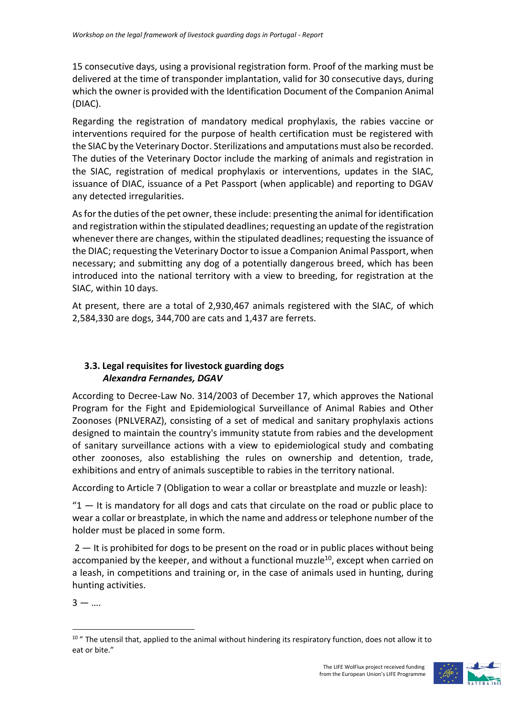15 consecutive days, using a provisional registration form. Proof of the marking must be delivered at the time of transponder implantation, valid for 30 consecutive days, during which the owner is provided with the Identification Document of the Companion Animal (DIAC).

Regarding the registration of mandatory medical prophylaxis, the rabies vaccine or interventions required for the purpose of health certification must be registered with the SIAC by the Veterinary Doctor. Sterilizations and amputations must also be recorded. The duties of the Veterinary Doctor include the marking of animals and registration in the SIAC, registration of medical prophylaxis or interventions, updates in the SIAC, issuance of DIAC, issuance of a Pet Passport (when applicable) and reporting to DGAV any detected irregularities.

As for the duties of the pet owner, these include: presenting the animal for identification and registration within the stipulated deadlines; requesting an update of the registration whenever there are changes, within the stipulated deadlines; requesting the issuance of the DIAC; requesting the Veterinary Doctor to issue a Companion Animal Passport, when necessary; and submitting any dog of a potentially dangerous breed, which has been introduced into the national territory with a view to breeding, for registration at the SIAC, within 10 days.

At present, there are a total of 2,930,467 animals registered with the SIAC, of which 2,584,330 are dogs, 344,700 are cats and 1,437 are ferrets.

## **3.3. Legal requisites for livestock guarding dogs** *Alexandra Fernandes, DGAV*

According to Decree-Law No. 314/2003 of December 17, which approves the National Program for the Fight and Epidemiological Surveillance of Animal Rabies and Other Zoonoses (PNLVERAZ), consisting of a set of medical and sanitary prophylaxis actions designed to maintain the country's immunity statute from rabies and the development of sanitary surveillance actions with a view to epidemiological study and combating other zoonoses, also establishing the rules on ownership and detention, trade, exhibitions and entry of animals susceptible to rabies in the territory national.

According to Article 7 (Obligation to wear a collar or breastplate and muzzle or leash):

 $"1$   $-$  It is mandatory for all dogs and cats that circulate on the road or public place to wear a collar or breastplate, in which the name and address or telephone number of the holder must be placed in some form.

 $2 -$  It is prohibited for dogs to be present on the road or in public places without being accompanied by the keeper, and without a functional muzzle<sup>10</sup>, except when carried on a leash, in competitions and training or, in the case of animals used in hunting, during hunting activities.

 $3 - ...$ 



<sup>&</sup>lt;sup>10</sup> " The utensil that, applied to the animal without hindering its respiratory function, does not allow it to eat or bite."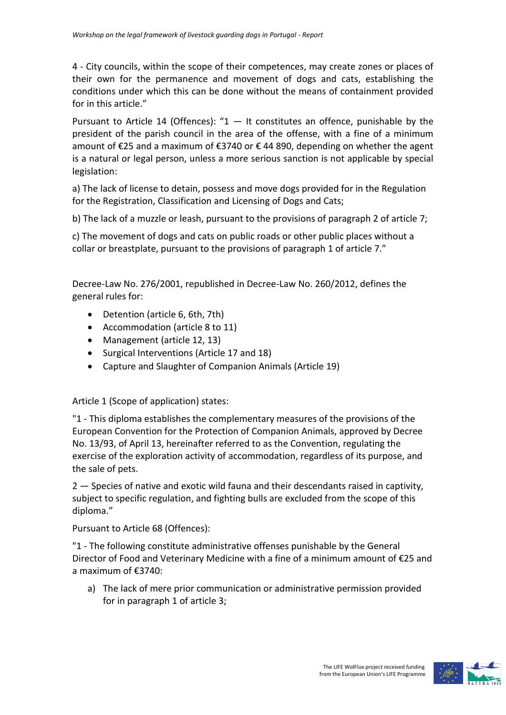4 - City councils, within the scope of their competences, may create zones or places of their own for the permanence and movement of dogs and cats, establishing the conditions under which this can be done without the means of containment provided for in this article."

Pursuant to Article 14 (Offences): " $1 -$  It constitutes an offence, punishable by the president of the parish council in the area of the offense, with a fine of a minimum amount of €25 and a maximum of €3740 or € 44 890, depending on whether the agent is a natural or legal person, unless a more serious sanction is not applicable by special legislation:

a) The lack of license to detain, possess and move dogs provided for in the Regulation for the Registration, Classification and Licensing of Dogs and Cats;

b) The lack of a muzzle or leash, pursuant to the provisions of paragraph 2 of article 7;

c) The movement of dogs and cats on public roads or other public places without a collar or breastplate, pursuant to the provisions of paragraph 1 of article 7."

Decree-Law No. 276/2001, republished in Decree-Law No. 260/2012, defines the general rules for:

- Detention (article 6, 6th, 7th)
- Accommodation (article 8 to 11)
- Management (article 12, 13)
- Surgical Interventions (Article 17 and 18)
- Capture and Slaughter of Companion Animals (Article 19)

Article 1 (Scope of application) states:

"1 - This diploma establishes the complementary measures of the provisions of the European Convention for the Protection of Companion Animals, approved by Decree No. 13/93, of April 13, hereinafter referred to as the Convention, regulating the exercise of the exploration activity of accommodation, regardless of its purpose, and the sale of pets.

2 — Species of native and exotic wild fauna and their descendants raised in captivity, subject to specific regulation, and fighting bulls are excluded from the scope of this diploma."

Pursuant to Article 68 (Offences):

"1 - The following constitute administrative offenses punishable by the General Director of Food and Veterinary Medicine with a fine of a minimum amount of €25 and a maximum of €3740:

a) The lack of mere prior communication or administrative permission provided for in paragraph 1 of article 3;

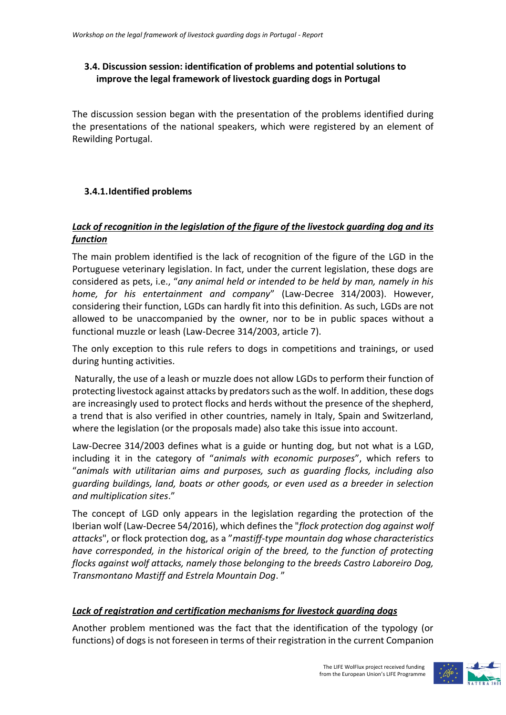## **3.4. Discussion session: identification of problems and potential solutions to improve the legal framework of livestock guarding dogs in Portugal**

The discussion session began with the presentation of the problems identified during the presentations of the national speakers, which were registered by an element of Rewilding Portugal.

## **3.4.1.Identified problems**

## *Lack of recognition in the legislation of the figure of the livestock guarding dog and its function*

The main problem identified is the lack of recognition of the figure of the LGD in the Portuguese veterinary legislation. In fact, under the current legislation, these dogs are considered as pets, i.e., "*any animal held or intended to be held by man, namely in his home, for his entertainment and company*" (Law-Decree 314/2003). However, considering their function, LGDs can hardly fit into this definition. As such, LGDs are not allowed to be unaccompanied by the owner, nor to be in public spaces without a functional muzzle or leash (Law-Decree 314/2003, article 7).

The only exception to this rule refers to dogs in competitions and trainings, or used during hunting activities.

Naturally, the use of a leash or muzzle does not allow LGDs to perform their function of protecting livestock against attacks by predators such as the wolf. In addition, these dogs are increasingly used to protect flocks and herds without the presence of the shepherd, a trend that is also verified in other countries, namely in Italy, Spain and Switzerland, where the legislation (or the proposals made) also take this issue into account.

Law-Decree 314/2003 defines what is a guide or hunting dog, but not what is a LGD, including it in the category of "*animals with economic purposes*", which refers to "*animals with utilitarian aims and purposes, such as guarding flocks, including also guarding buildings, land, boats or other goods, or even used as a breeder in selection and multiplication sites*."

The concept of LGD only appears in the legislation regarding the protection of the Iberian wolf (Law-Decree 54/2016), which defines the "*flock protection dog against wolf attacks*", or flock protection dog, as a "*mastiff-type mountain dog whose characteristics have corresponded, in the historical origin of the breed, to the function of protecting flocks against wolf attacks, namely those belonging to the breeds Castro Laboreiro Dog, Transmontano Mastiff and Estrela Mountain Dog*. "

## *Lack of registration and certification mechanisms for livestock guarding dogs*

Another problem mentioned was the fact that the identification of the typology (or functions) of dogs is not foreseen in terms of their registration in the current Companion

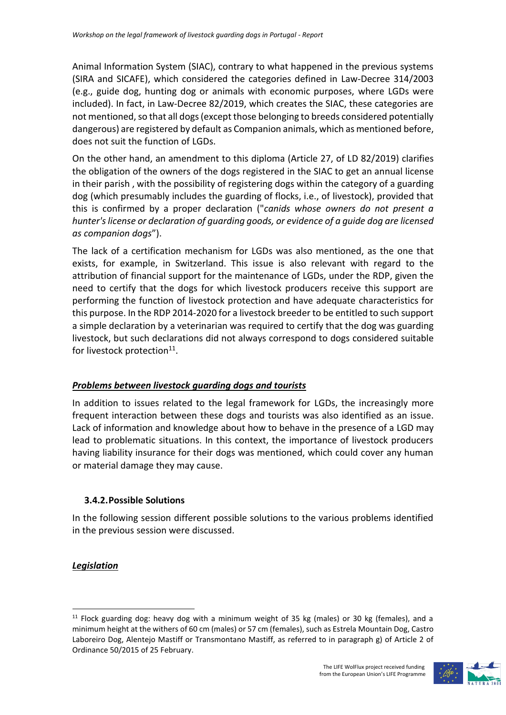Animal Information System (SIAC), contrary to what happened in the previous systems (SIRA and SICAFE), which considered the categories defined in Law-Decree 314/2003 (e.g., guide dog, hunting dog or animals with economic purposes, where LGDs were included). In fact, in Law-Decree 82/2019, which creates the SIAC, these categories are not mentioned, so that all dogs (except those belonging to breeds considered potentially dangerous) are registered by default as Companion animals, which as mentioned before, does not suit the function of LGDs.

On the other hand, an amendment to this diploma (Article 27, of LD 82/2019) clarifies the obligation of the owners of the dogs registered in the SIAC to get an annual license in their parish , with the possibility of registering dogs within the category of a guarding dog (which presumably includes the guarding of flocks, i.e., of livestock), provided that this is confirmed by a proper declaration ("*canids whose owners do not present a hunter's license or declaration of guarding goods, or evidence of a guide dog are licensed as companion dogs*").

The lack of a certification mechanism for LGDs was also mentioned, as the one that exists, for example, in Switzerland. This issue is also relevant with regard to the attribution of financial support for the maintenance of LGDs, under the RDP, given the need to certify that the dogs for which livestock producers receive this support are performing the function of livestock protection and have adequate characteristics for this purpose. In the RDP 2014-2020 for a livestock breeder to be entitled to such support a simple declaration by a veterinarian was required to certify that the dog was guarding livestock, but such declarations did not always correspond to dogs considered suitable for livestock protection<sup>11</sup>.

#### *Problems between livestock guarding dogs and tourists*

In addition to issues related to the legal framework for LGDs, the increasingly more frequent interaction between these dogs and tourists was also identified as an issue. Lack of information and knowledge about how to behave in the presence of a LGD may lead to problematic situations. In this context, the importance of livestock producers having liability insurance for their dogs was mentioned, which could cover any human or material damage they may cause.

#### **3.4.2.Possible Solutions**

In the following session different possible solutions to the various problems identified in the previous session were discussed.

#### *Legislation*

 $11$  Flock guarding dog: heavy dog with a minimum weight of 35 kg (males) or 30 kg (females), and a minimum height at the withers of 60 cm (males) or 57 cm (females), such as Estrela Mountain Dog, Castro Laboreiro Dog, Alentejo Mastiff or Transmontano Mastiff, as referred to in paragraph g) of Article 2 of Ordinance 50/2015 of 25 February.



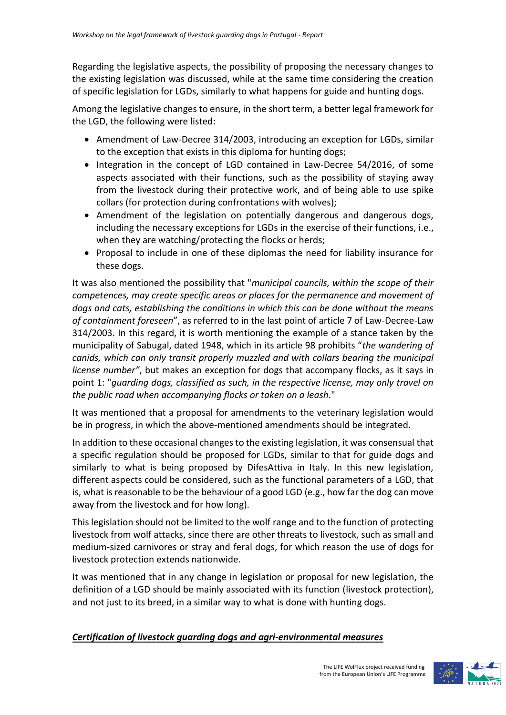Regarding the legislative aspects, the possibility of proposing the necessary changes to the existing legislation was discussed, while at the same time considering the creation of specific legislation for LGDs, similarly to what happens for guide and hunting dogs.

Among the legislative changes to ensure, in the short term, a better legal framework for the LGD, the following were listed:

- Amendment of Law-Decree 314/2003, introducing an exception for LGDs, similar to the exception that exists in this diploma for hunting dogs;
- Integration in the concept of LGD contained in Law-Decree 54/2016, of some aspects associated with their functions, such as the possibility of staying away from the livestock during their protective work, and of being able to use spike collars (for protection during confrontations with wolves);
- Amendment of the legislation on potentially dangerous and dangerous dogs, including the necessary exceptions for LGDs in the exercise of their functions, i.e., when they are watching/protecting the flocks or herds;
- Proposal to include in one of these diplomas the need for liability insurance for these dogs.

It was also mentioned the possibility that "*municipal councils, within the scope of their competences, may create specific areas or places for the permanence and movement of dogs and cats, establishing the conditions in which this can be done without the means of containment foreseen*", as referred to in the last point of article 7 of Law-Decree-Law 314/2003. In this regard, it is worth mentioning the example of a stance taken by the municipality of Sabugal, dated 1948, which in its article 98 prohibits "*the wandering of canids, which can only transit properly muzzled and with collars bearing the municipal license number"*, but makes an exception for dogs that accompany flocks, as it says in point 1: "*guarding dogs, classified as such, in the respective license, may only travel on the public road when accompanying flocks or taken on a leash*."

It was mentioned that a proposal for amendments to the veterinary legislation would be in progress, in which the above-mentioned amendments should be integrated.

In addition to these occasional changes to the existing legislation, it was consensual that a specific regulation should be proposed for LGDs, similar to that for guide dogs and similarly to what is being proposed by DifesAttiva in Italy. In this new legislation, different aspects could be considered, such as the functional parameters of a LGD, that is, what is reasonable to be the behaviour of a good LGD (e.g., how far the dog can move away from the livestock and for how long).

This legislation should not be limited to the wolf range and to the function of protecting livestock from wolf attacks, since there are other threats to livestock, such as small and medium-sized carnivores or stray and feral dogs, for which reason the use of dogs for livestock protection extends nationwide.

It was mentioned that in any change in legislation or proposal for new legislation, the definition of a LGD should be mainly associated with its function (livestock protection), and not just to its breed, in a similar way to what is done with hunting dogs.

## *Certification of livestock guarding dogs and agri-environmental measures*

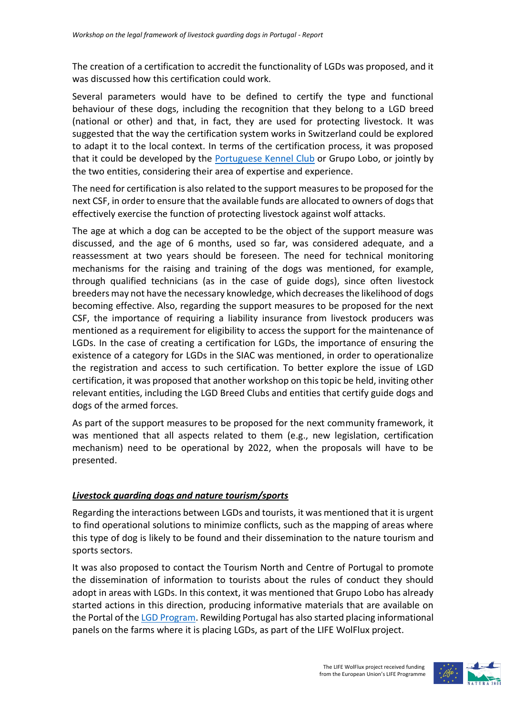The creation of a certification to accredit the functionality of LGDs was proposed, and it was discussed how this certification could work.

Several parameters would have to be defined to certify the type and functional behaviour of these dogs, including the recognition that they belong to a LGD breed (national or other) and that, in fact, they are used for protecting livestock. It was suggested that the way the certification system works in Switzerland could be explored to adapt it to the local context. In terms of the certification process, it was proposed that it could be developed by the [Portuguese Kennel Club](https://www.cpc.pt/) or Grupo Lobo, or jointly by the two entities, considering their area of expertise and experience.

The need for certification is also related to the support measures to be proposed for the next CSF, in order to ensure that the available funds are allocated to owners of dogsthat effectively exercise the function of protecting livestock against wolf attacks.

The age at which a dog can be accepted to be the object of the support measure was discussed, and the age of 6 months, used so far, was considered adequate, and a reassessment at two years should be foreseen. The need for technical monitoring mechanisms for the raising and training of the dogs was mentioned, for example, through qualified technicians (as in the case of guide dogs), since often livestock breeders may not have the necessary knowledge, which decreases the likelihood of dogs becoming effective. Also, regarding the support measures to be proposed for the next CSF, the importance of requiring a liability insurance from livestock producers was mentioned as a requirement for eligibility to access the support for the maintenance of LGDs. In the case of creating a certification for LGDs, the importance of ensuring the existence of a category for LGDs in the SIAC was mentioned, in order to operationalize the registration and access to such certification. To better explore the issue of LGD certification, it was proposed that another workshop on this topic be held, inviting other relevant entities, including the LGD Breed Clubs and entities that certify guide dogs and dogs of the armed forces.

As part of the support measures to be proposed for the next community framework, it was mentioned that all aspects related to them (e.g., new legislation, certification mechanism) need to be operational by 2022, when the proposals will have to be presented.

## *Livestock guarding dogs and nature tourism/sports*

Regarding the interactions between LGDs and tourists, it was mentioned that it is urgent to find operational solutions to minimize conflicts, such as the mapping of areas where this type of dog is likely to be found and their dissemination to the nature tourism and sports sectors.

It was also proposed to contact the Tourism North and Centre of Portugal to promote the dissemination of information to tourists about the rules of conduct they should adopt in areas with LGDs. In this context, it was mentioned that Grupo Lobo has already started actions in this direction, producing informative materials that are available on the Portal of the LGD [Program.](http://www.grupolobo.pt/encontros-com-caes) Rewilding Portugal has also started placing informational panels on the farms where it is placing LGDs, as part of the LIFE WolFlux project.